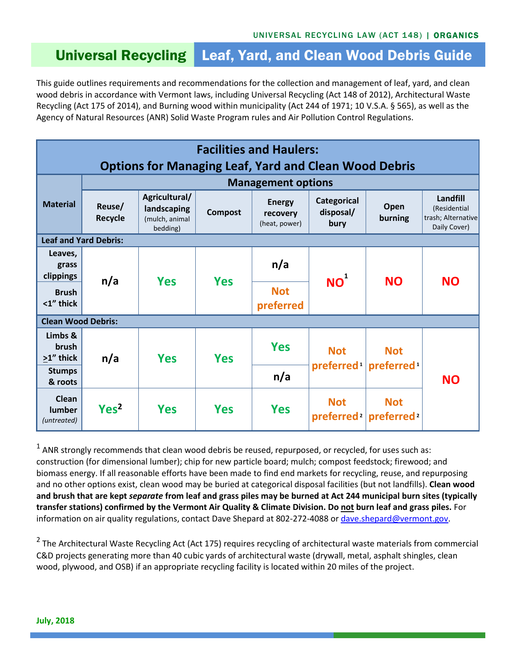## Universal Recycling Leaf, Yard, and Clean Wood Debris Guide

This guide outlines requirements and recommendations for the collection and management of leaf, yard, and clean wood debris in accordance with Vermont laws, including Universal Recycling (Act 148 of 2012), Architectural Waste Recycling (Act 175 of 2014), and Burning wood within municipality (Act 244 of 1971; 10 V.S.A. § 565), as well as the Agency of Natural Resources (ANR) Solid Waste Program rules and Air Pollution Control Regulations.

| <b>Facilities and Haulers:</b>                               |                           |                                                            |                |                                            |                                         |                                      |                                                                |
|--------------------------------------------------------------|---------------------------|------------------------------------------------------------|----------------|--------------------------------------------|-----------------------------------------|--------------------------------------|----------------------------------------------------------------|
| <b>Options for Managing Leaf, Yard and Clean Wood Debris</b> |                           |                                                            |                |                                            |                                         |                                      |                                                                |
|                                                              | <b>Management options</b> |                                                            |                |                                            |                                         |                                      |                                                                |
| <b>Material</b>                                              | Reuse/<br><b>Recycle</b>  | Agricultural/<br>landscaping<br>(mulch, animal<br>bedding) | <b>Compost</b> | <b>Energy</b><br>recovery<br>(heat, power) | <b>Categorical</b><br>disposal/<br>bury | Open<br>burning                      | Landfill<br>(Residential<br>trash; Alternative<br>Daily Cover) |
| <b>Leaf and Yard Debris:</b>                                 |                           |                                                            |                |                                            |                                         |                                      |                                                                |
| Leaves,<br>grass<br>clippings                                | n/a                       | <b>Yes</b>                                                 | <b>Yes</b>     | n/a                                        | NO <sup>1</sup>                         | <b>NO</b>                            | <b>NO</b>                                                      |
| <b>Brush</b><br><1" thick                                    |                           |                                                            |                | <b>Not</b><br>preferred                    |                                         |                                      |                                                                |
| <b>Clean Wood Debris:</b>                                    |                           |                                                            |                |                                            |                                         |                                      |                                                                |
| Limbs &<br>brush<br>>1" thick                                | n/a                       | <b>Yes</b>                                                 | <b>Yes</b>     | <b>Yes</b>                                 | <b>Not</b><br>preferred <sup>1</sup>    | <b>Not</b><br>preferred <sup>1</sup> | <b>NO</b>                                                      |
| <b>Stumps</b><br>& roots                                     |                           |                                                            |                | n/a                                        |                                         |                                      |                                                                |
| Clean<br>lumber<br>(untreated)                               | Yes <sup>2</sup>          | <b>Yes</b>                                                 | <b>Yes</b>     | <b>Yes</b>                                 | <b>Not</b><br>preferred <sup>2</sup>    | <b>Not</b><br>preferred <sup>2</sup> |                                                                |

 $^1$  ANR strongly recommends that clean wood debris be reused, repurposed, or recycled, for uses such as: construction (for dimensional lumber); chip for new particle board; mulch; compost feedstock; firewood; and biomass energy. If all reasonable efforts have been made to find end markets for recycling, reuse, and repurposing and no other options exist, clean wood may be buried at categorical disposal facilities (but not landfills). **Clean wood and brush that are kept** *separate* **from leaf and grass piles may be burned at Act 244 municipal burn sites (typically transfer stations) confirmed by the Vermont Air Quality & Climate Division. Do not burn leaf and grass piles.** For information on air quality regulations, contact Dave Shepard at 802-272-4088 o[r dave.shepard@vermont.gov.](mailto:dave.shepard@vermont.gov)

<sup>2</sup> The Architectural Waste Recycling Act (Act 175) requires recycling of architectural waste materials from commercial C&D projects generating more than 40 cubic yards of architectural waste (drywall, metal, asphalt shingles, clean wood, plywood, and OSB) if an appropriate recycling facility is located within 20 miles of the project.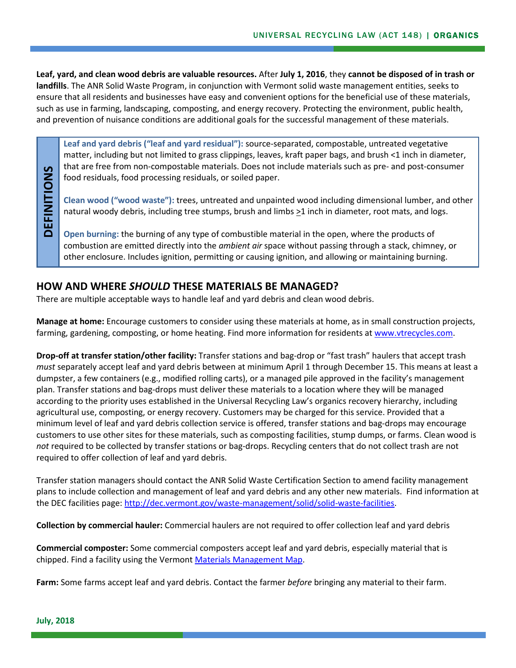**Leaf, yard, and clean wood debris are valuable resources.** After **July 1, 2016**, they **cannot be disposed of in trash or landfills**. The ANR Solid Waste Program, in conjunction with Vermont solid waste management entities, seeks to ensure that all residents and businesses have easy and convenient options for the beneficial use of these materials, such as use in farming, landscaping, composting, and energy recovery. Protecting the environment, public health, and prevention of nuisance conditions are additional goals for the successful management of these materials.

**Leaf and yard debris ("leaf and yard residual"):** source-separated, compostable, untreated vegetative matter, including but not limited to grass clippings, leaves, kraft paper bags, and brush <1 inch in diameter, that are free from non-compostable materials. Does not include materials such as pre- and post-consumer food residuals, food processing residuals, or soiled paper.

**Clean wood ("wood waste"):** trees, untreated and unpainted wood including dimensional lumber, and other natural woody debris, including tree stumps, brush and limbs >1 inch in diameter, root mats, and logs.

**Open burning:** the burning of any type of combustible material in the open, where the products of combustion are emitted directly into the *ambient air* space without passing through a stack, chimney, or other enclosure. Includes ignition, permitting or causing ignition, and allowing or maintaining burning.

## **HOW AND WHERE** *SHOULD* **THESE MATERIALS BE MANAGED?**

There are multiple acceptable ways to handle leaf and yard debris and clean wood debris.

**Manage at home:** Encourage customers to consider using these materials at home, as in small construction projects, farming, gardening, composting, or home heating. Find more information for residents a[t www.vtrecycles.com.](http://www.vtrecycles.com/)

**Drop-off at transfer station/other facility:** Transfer stations and bag-drop or "fast trash" haulers that accept trash *must* separately accept leaf and yard debris between at minimum April 1 through December 15. This means at least a dumpster, a few containers (e.g., modified rolling carts), or a managed pile approved in the facility's management plan. Transfer stations and bag-drops must deliver these materials to a location where they will be managed according to the priority uses established in the Universal Recycling Law's organics recovery hierarchy, including agricultural use, composting, or energy recovery. Customers may be charged for this service. Provided that a minimum level of leaf and yard debris collection service is offered, transfer stations and bag-drops may encourage customers to use other sites for these materials, such as composting facilities, stump dumps, or farms. Clean wood is *not* required to be collected by transfer stations or bag-drops. Recycling centers that do not collect trash are not required to offer collection of leaf and yard debris.

Transfer station managers should contact the ANR Solid Waste Certification Section to amend facility management plans to include collection and management of leaf and yard debris and any other new materials. Find information at the DEC facilities page: [http://dec.vermont.gov/waste-management/solid/solid-waste-facilities.](http://dec.vermont.gov/waste-management/solid/solid-waste-facilities)

**Collection by commercial hauler:** Commercial haulers are not required to offer collection leaf and yard debris

**Commercial composter:** Some commercial composters accept leaf and yard debris, especially material that is chipped. Find a facility using the Vermont [Materials Management Map.](http://anrmaps.vermont.gov/websites/Organics/default.html)

**Farm:** Some farms accept leaf and yard debris. Contact the farmer *before* bringing any material to their farm.

**DEFINITIONS**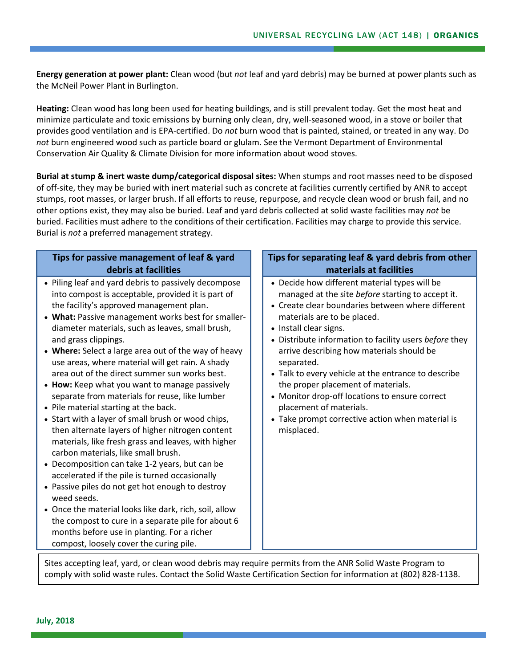**Energy generation at power plant:** Clean wood (but *not* leaf and yard debris) may be burned at power plants such as the McNeil Power Plant in Burlington.

**Heating:** Clean wood has long been used for heating buildings, and is still prevalent today. Get the most heat and minimize particulate and toxic emissions by burning only clean, dry, well-seasoned wood, in a stove or boiler that provides good ventilation and is EPA-certified. Do *not* burn wood that is painted, stained, or treated in any way. Do *not* burn engineered wood such as particle board or glulam. See the Vermont Department of Environmental Conservation Air Quality & Climate Division for more information about wood stoves.

**Burial at stump & inert waste dump/categorical disposal sites:** When stumps and root masses need to be disposed of off-site, they may be buried with inert material such as concrete at facilities currently certified by ANR to accept stumps, root masses, or larger brush. If all efforts to reuse, repurpose, and recycle clean wood or brush fail, and no other options exist, they may also be buried. Leaf and yard debris collected at solid waste facilities may *not* be buried. Facilities must adhere to the conditions of their certification. Facilities may charge to provide this service. Burial is *not* a preferred management strategy.

## **Tips for passive management of leaf & yard debris at facilities**

- Piling leaf and yard debris to passively decompose into compost is acceptable, provided it is part of the facility's approved management plan.
- **What:** Passive management works best for smallerdiameter materials, such as leaves, small brush, and grass clippings.
- **Where:** Select a large area out of the way of heavy use areas, where material will get rain. A shady area out of the direct summer sun works best.
- **How:** Keep what you want to manage passively separate from materials for reuse, like lumber
- Pile material starting at the back.
- Start with a layer of small brush or wood chips, then alternate layers of higher nitrogen content materials, like fresh grass and leaves, with higher carbon materials, like small brush.
- Decomposition can take 1-2 years, but can be accelerated if the pile is turned occasionally
- Passive piles do not get hot enough to destroy weed seeds.
- Once the material looks like dark, rich, soil, allow the compost to cure in a separate pile for about 6 months before use in planting. For a richer compost, loosely cover the curing pile.

## **Tips for separating leaf & yard debris from other materials at facilities**

- Decide how different material types will be managed at the site *before* starting to accept it.
- Create clear boundaries between where different materials are to be placed.
- Install clear signs.
- Distribute information to facility users *before* they arrive describing how materials should be separated.
- Talk to every vehicle at the entrance to describe the proper placement of materials.
- Monitor drop-off locations to ensure correct placement of materials.
- Take prompt corrective action when material is misplaced.

Sites accepting leaf, yard, or clean wood debris may require permits from the ANR Solid Waste Program to comply with solid waste rules. Contact the Solid Waste Certification Section for information at (802) 828-1138.